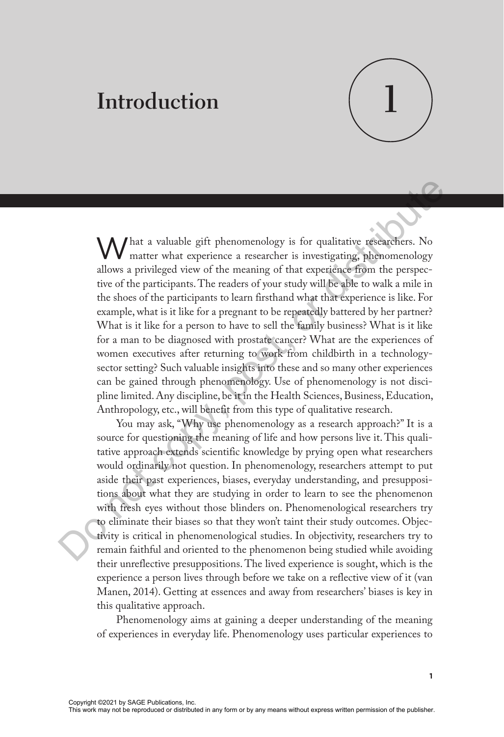# **Introduction**

**1**

What a valuable gift phenomenology is for qualitative researchers. No matter what experience a researcher is investigating, phenomenology allows a privileged view of the meaning of that experience from the perspective of the participants. The readers of your study will be able to walk a mile in the shoes of the participants to learn firsthand what that experience is like. For example, what is it like for a pregnant to be repeatedly battered by her partner? What is it like for a person to have to sell the family business? What is it like for a man to be diagnosed with prostate cancer? What are the experiences of women executives after returning to work from childbirth in a technologysector setting? Such valuable insights into these and so many other experiences can be gained through phenomenology. Use of phenomenology is not discipline limited. Any discipline, be it in the Health Sciences, Business, Education, Anthropology, etc., will benefit from this type of qualitative research. What a valuable gift phenomenology is for qualitative researchers. No<br>matter what experience a researcher is investigating, phenomenology<br>allows a privileged view of the meaning of that experience from the prespec-<br>tive o

You may ask, "Why use phenomenology as a research approach?" It is a source for questioning the meaning of life and how persons live it. This qualitative approach extends scientific knowledge by prying open what researchers would ordinarily not question. In phenomenology, researchers attempt to put aside their past experiences, biases, everyday understanding, and presuppositions about what they are studying in order to learn to see the phenomenon with fresh eyes without those blinders on. Phenomenological researchers try to eliminate their biases so that they won't taint their study outcomes. Objectivity is critical in phenomenological studies. In objectivity, researchers try to remain faithful and oriented to the phenomenon being studied while avoiding their unreflective presuppositions. The lived experience is sought, which is the experience a person lives through before we take on a reflective view of it (van Manen, 2014). Getting at essences and away from researchers' biases is key in this qualitative approach.

Phenomenology aims at gaining a deeper understanding of the meaning of experiences in everyday life. Phenomenology uses particular experiences to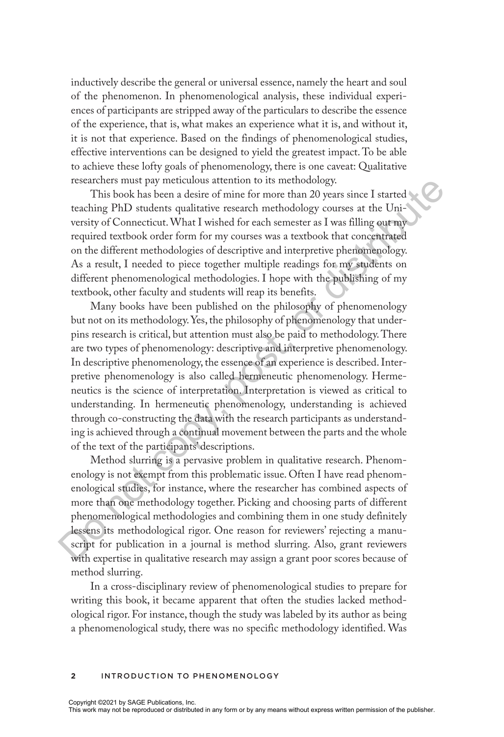inductively describe the general or universal essence, namely the heart and soul of the phenomenon. In phenomenological analysis, these individual experiences of participants are stripped away of the particulars to describe the essence of the experience, that is, what makes an experience what it is, and without it, it is not that experience. Based on the findings of phenomenological studies, effective interventions can be designed to yield the greatest impact. To be able to achieve these lofty goals of phenomenology, there is one caveat: Qualitative researchers must pay meticulous attention to its methodology.

This book has been a desire of mine for more than 20 years since I started teaching PhD students qualitative research methodology courses at the University of Connecticut. What I wished for each semester as I was filling out my required textbook order form for my courses was a textbook that concentrated on the different methodologies of descriptive and interpretive phenomenology. As a result, I needed to piece together multiple readings for my students on different phenomenological methodologies. I hope with the publishing of my textbook, other faculty and students will reap its benefits.

Many books have been published on the philosophy of phenomenology but not on its methodology. Yes, the philosophy of phenomenology that underpins research is critical, but attention must also be paid to methodology. There are two types of phenomenology: descriptive and interpretive phenomenology. In descriptive phenomenology, the essence of an experience is described. Interpretive phenomenology is also called hermeneutic phenomenology. Hermeneutics is the science of interpretation. Interpretation is viewed as critical to understanding. In hermeneutic phenomenology, understanding is achieved through co-constructing the data with the research participants as understanding is achieved through a continual movement between the parts and the whole of the text of the participants' descriptions. research is much parameterize multipularity and the methodology:<br>This book has been a desire of mine for more than 20 years since I started<br>teaching PhD students qualitative research methodology courses at the University o

Method slurring is a pervasive problem in qualitative research. Phenomenology is not exempt from this problematic issue. Often I have read phenomenological studies, for instance, where the researcher has combined aspects of more than one methodology together. Picking and choosing parts of different phenomenological methodologies and combining them in one study definitely lessens its methodological rigor. One reason for reviewers' rejecting a manuscript for publication in a journal is method slurring. Also, grant reviewers with expertise in qualitative research may assign a grant poor scores because of method slurring.

In a cross-disciplinary review of phenomenological studies to prepare for writing this book, it became apparent that often the studies lacked methodological rigor. For instance, though the study was labeled by its author as being a phenomenological study, there was no specific methodology identified. Was

#### **2** INTRODUCTION TO PHENOMENOLOGY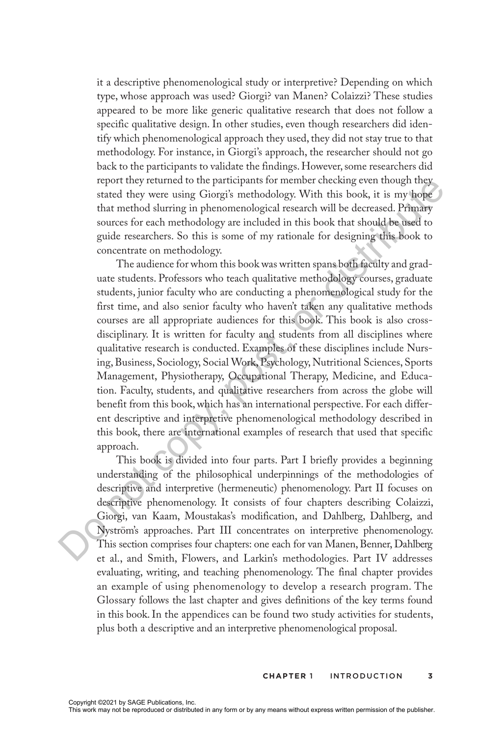it a descriptive phenomenological study or interpretive? Depending on which type, whose approach was used? Giorgi? van Manen? Colaizzi? These studies appeared to be more like generic qualitative research that does not follow a specific qualitative design. In other studies, even though researchers did identify which phenomenological approach they used, they did not stay true to that methodology. For instance, in Giorgi's approach, the researcher should not go back to the participants to validate the findings. However, some researchers did report they returned to the participants for member checking even though they stated they were using Giorgi's methodology. With this book, it is my hope that method slurring in phenomenological research will be decreased. Primary sources for each methodology are included in this book that should be used to guide researchers. So this is some of my rationale for designing this book to concentrate on methodology.

The audience for whom this book was written spans both faculty and graduate students. Professors who teach qualitative methodology courses, graduate students, junior faculty who are conducting a phenomenological study for the first time, and also senior faculty who haven't taken any qualitative methods courses are all appropriate audiences for this book. This book is also crossdisciplinary. It is written for faculty and students from all disciplines where qualitative research is conducted. Examples of these disciplines include Nursing, Business, Sociology, Social Work, Psychology, Nutritional Sciences, Sports Management, Physiotherapy, Occupational Therapy, Medicine, and Education. Faculty, students, and qualitative researchers from across the globe will benefit from this book, which has an international perspective. For each different descriptive and interpretive phenomenological methodology described in this book, there are international examples of research that used that specific approach. report they returned to the participants for member checking event though they stead they were using Giorgi's methodology. With this book, it is my hope<br>that method sluring in phenomenological research will be decreased. P

This book is divided into four parts. Part I briefly provides a beginning understanding of the philosophical underpinnings of the methodologies of descriptive and interpretive (hermeneutic) phenomenology. Part II focuses on descriptive phenomenology. It consists of four chapters describing Colaizzi, Giorgi, van Kaam, Moustakas's modification, and Dahlberg, Dahlberg, and Nyström's approaches. Part III concentrates on interpretive phenomenology. This section comprises four chapters: one each for van Manen, Benner, Dahlberg et al., and Smith, Flowers, and Larkin's methodologies. Part IV addresses evaluating, writing, and teaching phenomenology. The final chapter provides an example of using phenomenology to develop a research program. The Glossary follows the last chapter and gives definitions of the key terms found in this book. In the appendices can be found two study activities for students, plus both a descriptive and an interpretive phenomenological proposal.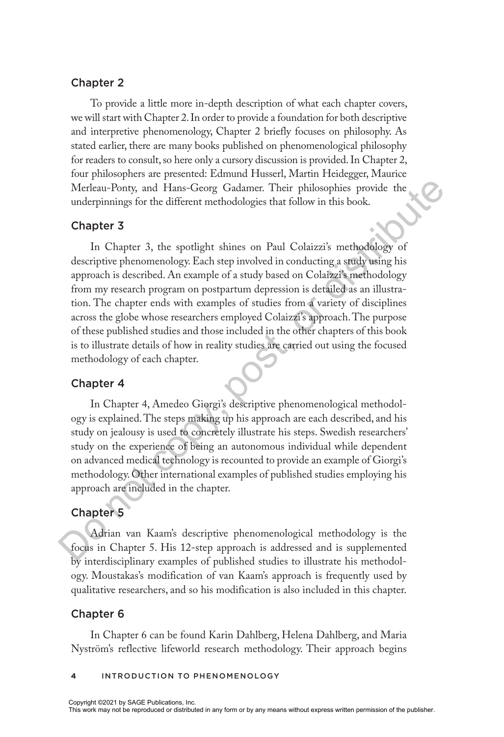### Chapter 2

To provide a little more in-depth description of what each chapter covers, we will start with Chapter 2. In order to provide a foundation for both descriptive and interpretive phenomenology, Chapter 2 briefly focuses on philosophy. As stated earlier, there are many books published on phenomenological philosophy for readers to consult, so here only a cursory discussion is provided. In Chapter 2, four philosophers are presented: Edmund Husserl, Martin Heidegger, Maurice Merleau-Ponty, and Hans-Georg Gadamer. Their philosophies provide the underpinnings for the different methodologies that follow in this book.

## Chapter 3

In Chapter 3, the spotlight shines on Paul Colaizzi's methodology of descriptive phenomenology. Each step involved in conducting a study using his approach is described. An example of a study based on Colaizzi's methodology from my research program on postpartum depression is detailed as an illustration. The chapter ends with examples of studies from a variety of disciplines across the globe whose researchers employed Colaizzi's approach. The purpose of these published studies and those included in the other chapters of this book is to illustrate details of how in reality studies are carried out using the focused methodology of each chapter. Mericau-Ponty, and Hans-Georg Gadamer. Their philosophies provide the<br>
underpinnings for the different methodologies that follow in this book.<br> **Chapter 3**<br>
In Chapter 3, the spotlight shines on Paul Colaizzi's methodology

#### Chapter 4

In Chapter 4, Amedeo Giorgi's descriptive phenomenological methodology is explained. The steps making up his approach are each described, and his study on jealousy is used to concretely illustrate his steps. Swedish researchers' study on the experience of being an autonomous individual while dependent on advanced medical technology is recounted to provide an example of Giorgi's methodology. Other international examples of published studies employing his approach are included in the chapter.

# Chapter 5

Adrian van Kaam's descriptive phenomenological methodology is the focus in Chapter 5. His 12-step approach is addressed and is supplemented by interdisciplinary examples of published studies to illustrate his methodology. Moustakas's modification of van Kaam's approach is frequently used by qualitative researchers, and so his modification is also included in this chapter.

#### Chapter 6

In Chapter 6 can be found Karin Dahlberg, Helena Dahlberg, and Maria Nyström's reflective lifeworld research methodology. Their approach begins

#### **4** INTRODUCTION TO PHENOMENOLOGY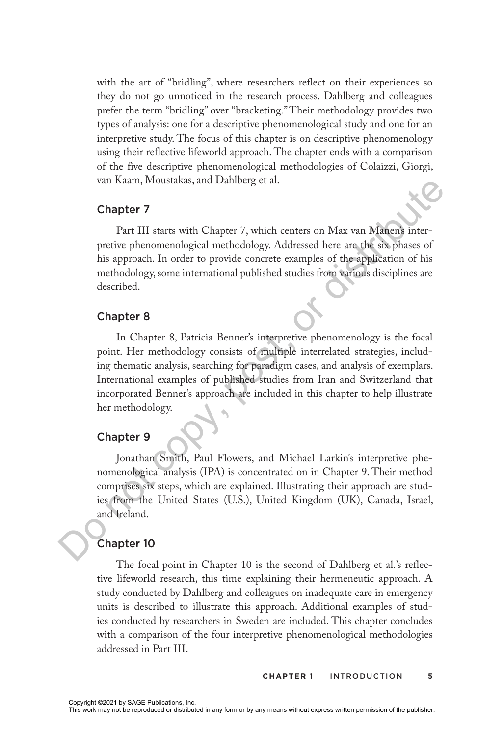with the art of "bridling", where researchers reflect on their experiences so they do not go unnoticed in the research process. Dahlberg and colleagues prefer the term "bridling" over "bracketing." Their methodology provides two types of analysis: one for a descriptive phenomenological study and one for an interpretive study. The focus of this chapter is on descriptive phenomenology using their reflective lifeworld approach. The chapter ends with a comparison of the five descriptive phenomenological methodologies of Colaizzi, Giorgi, van Kaam, Moustakas, and Dahlberg et al.

#### Chapter 7

Part III starts with Chapter 7, which centers on Max van Manen's interpretive phenomenological methodology. Addressed here are the six phases of his approach. In order to provide concrete examples of the application of his methodology, some international published studies from various disciplines are described.

#### Chapter 8

In Chapter 8, Patricia Benner's interpretive phenomenology is the focal point. Her methodology consists of multiple interrelated strategies, including thematic analysis, searching for paradigm cases, and analysis of exemplars. International examples of published studies from Iran and Switzerland that incorporated Benner's approach are included in this chapter to help illustrate her methodology. van Kaam, Moustakas, and Danlberg et al.<br>
Chapter 7<br>
Part III starts with Chapter 7, which centers on Max van Manens inter-<br>
price phenomenological methodology, Addressed here are the six phases of<br>
this approach. In order

## Chapter 9

Jonathan Smith, Paul Flowers, and Michael Larkin's interpretive phenomenological analysis (IPA) is concentrated on in Chapter 9. Their method comprises six steps, which are explained. Illustrating their approach are studies from the United States (U.S.), United Kingdom (UK), Canada, Israel, and Ireland.

# Chapter 10

The focal point in Chapter 10 is the second of Dahlberg et al.'s reflective lifeworld research, this time explaining their hermeneutic approach. A study conducted by Dahlberg and colleagues on inadequate care in emergency units is described to illustrate this approach. Additional examples of studies conducted by researchers in Sweden are included. This chapter concludes with a comparison of the four interpretive phenomenological methodologies addressed in Part III.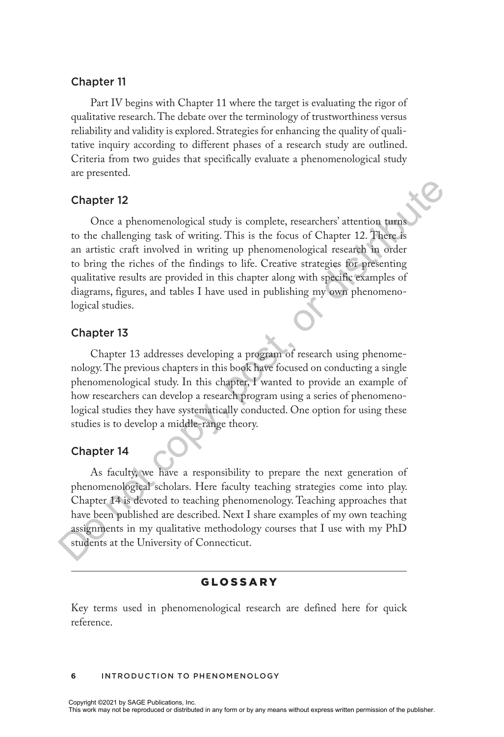# Chapter 11

Part IV begins with Chapter 11 where the target is evaluating the rigor of qualitative research. The debate over the terminology of trustworthiness versus reliability and validity is explored. Strategies for enhancing the quality of qualitative inquiry according to different phases of a research study are outlined. Criteria from two guides that specifically evaluate a phenomenological study are presented.

#### Chapter 12

Once a phenomenological study is complete, researchers' attention turns to the challenging task of writing. This is the focus of Chapter 12. There is an artistic craft involved in writing up phenomenological research in order to bring the riches of the findings to life. Creative strategies for presenting qualitative results are provided in this chapter along with specific examples of diagrams, figures, and tables I have used in publishing my own phenomenological studies. **Chapter 12**<br>
Once a phenomenological study is complete, researchers' attention tunes<br>
to the challenging task of writing. This is the focus of Chapter 12. There is<br>
an artistic craft involved in writing up phenomenologic

#### Chapter 13

Chapter 13 addresses developing a program of research using phenomenology. The previous chapters in this book have focused on conducting a single phenomenological study. In this chapter, I wanted to provide an example of how researchers can develop a research program using a series of phenomenological studies they have systematically conducted. One option for using these studies is to develop a middle-range theory.

#### Chapter 14

As faculty, we have a responsibility to prepare the next generation of phenomenological scholars. Here faculty teaching strategies come into play. Chapter 14 is devoted to teaching phenomenology. Teaching approaches that have been published are described. Next I share examples of my own teaching assignments in my qualitative methodology courses that I use with my PhD students at the University of Connecticut.

#### GLOSSARY

Key terms used in phenomenological research are defined here for quick reference.

#### **6** INTRODUCTION TO PHENOMENOLOGY